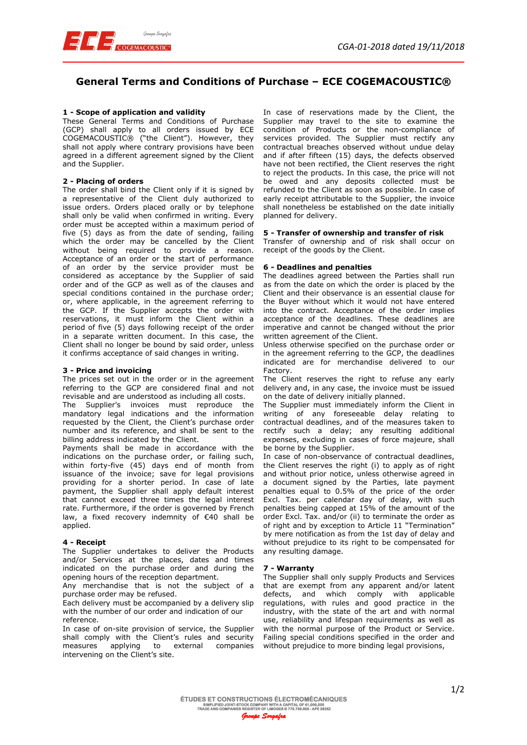

# **General Terms and Conditions of Purchase – ECE COGEMACOUSTIC®**

# **1 - Scope of application and validity**

These General Terms and Conditions of Purchase (GCP) shall apply to all orders issued by ECE COGEMACOUSTIC® ("the Client"). However, they shall not apply where contrary provisions have been agreed in a different agreement signed by the Client and the Supplier.

# **2 - Placing of orders**

The order shall bind the Client only if it is signed by a representative of the Client duly authorized to issue orders. Orders placed orally or by telephone shall only be valid when confirmed in writing. Every order must be accepted within a maximum period of five (5) days as from the date of sending, failing which the order may be cancelled by the Client without being required to provide a reason. Acceptance of an order or the start of performance of an order by the service provider must be considered as acceptance by the Supplier of said order and of the GCP as well as of the clauses and special conditions contained in the purchase order; or, where applicable, in the agreement referring to the GCP. If the Supplier accepts the order with reservations, it must inform the Client within a period of five (5) days following receipt of the order in a separate written document. In this case, the Client shall no longer be bound by said order, unless it confirms acceptance of said changes in writing.

#### **3 - Price and invoicing**

The prices set out in the order or in the agreement referring to the GCP are considered final and not revisable and are understood as including all costs.

The Supplier's invoices must reproduce the mandatory legal indications and the information requested by the Client, the Client's purchase order number and its reference, and shall be sent to the billing address indicated by the Client.

Payments shall be made in accordance with the indications on the purchase order, or failing such, within forty-five (45) days end of month from issuance of the invoice; save for legal provisions providing for a shorter period. In case of late payment, the Supplier shall apply default interest that cannot exceed three times the legal interest rate. Furthermore, if the order is governed by French law, a fixed recovery indemnity of  $\epsilon$ 40 shall be applied.

# **4 - Receipt**

The Supplier undertakes to deliver the Products and/or Services at the places, dates and times indicated on the purchase order and during the opening hours of the reception department.

Any merchandise that is not the subject of a purchase order may be refused.

Each delivery must be accompanied by a delivery slip with the number of our order and indication of our reference.

In case of on-site provision of service, the Supplier shall comply with the Client's rules and security measures applying to external companies intervening on the Client's site.

In case of reservations made by the Client, the Supplier may travel to the site to examine the condition of Products or the non-compliance of services provided. The Supplier must rectify any contractual breaches observed without undue delay and if after fifteen (15) days, the defects observed have not been rectified, the Client reserves the right to reject the products. In this case, the price will not be owed and any deposits collected must be refunded to the Client as soon as possible. In case of early receipt attributable to the Supplier, the invoice shall nonetheless be established on the date initially planned for delivery.

# **5 - Transfer of ownership and transfer of risk**

Transfer of ownership and of risk shall occur on receipt of the goods by the Client.

# **6 - Deadlines and penalties**

The deadlines agreed between the Parties shall run as from the date on which the order is placed by the Client and their observance is an essential clause for the Buyer without which it would not have entered into the contract. Acceptance of the order implies acceptance of the deadlines. These deadlines are imperative and cannot be changed without the prior written agreement of the Client.

Unless otherwise specified on the purchase order or in the agreement referring to the GCP, the deadlines indicated are for merchandise delivered to our Factory.

The Client reserves the right to refuse any early delivery and, in any case, the invoice must be issued on the date of delivery initially planned.

The Supplier must immediately inform the Client in writing of any foreseeable delay relating to contractual deadlines, and of the measures taken to rectify such a delay; any resulting additional expenses, excluding in cases of force majeure, shall be borne by the Supplier.

In case of non-observance of contractual deadlines, the Client reserves the right (i) to apply as of right and without prior notice, unless otherwise agreed in a document signed by the Parties, late payment penalties equal to 0.5% of the price of the order Excl. Tax. per calendar day of delay, with such penalties being capped at 15% of the amount of the order Excl. Tax. and/or (ii) to terminate the order as of right and by exception to Article 11 "Termination" by mere notification as from the 1st day of delay and without prejudice to its right to be compensated for any resulting damage.

# **7 - Warranty**

The Supplier shall only supply Products and Services that are exempt from any apparent and/or latent defects, and which comply with applicable regulations, with rules and good practice in the industry, with the state of the art and with normal use, reliability and lifespan requirements as well as with the normal purpose of the Product or Service. Failing special conditions specified in the order and without prejudice to more binding legal provisions,